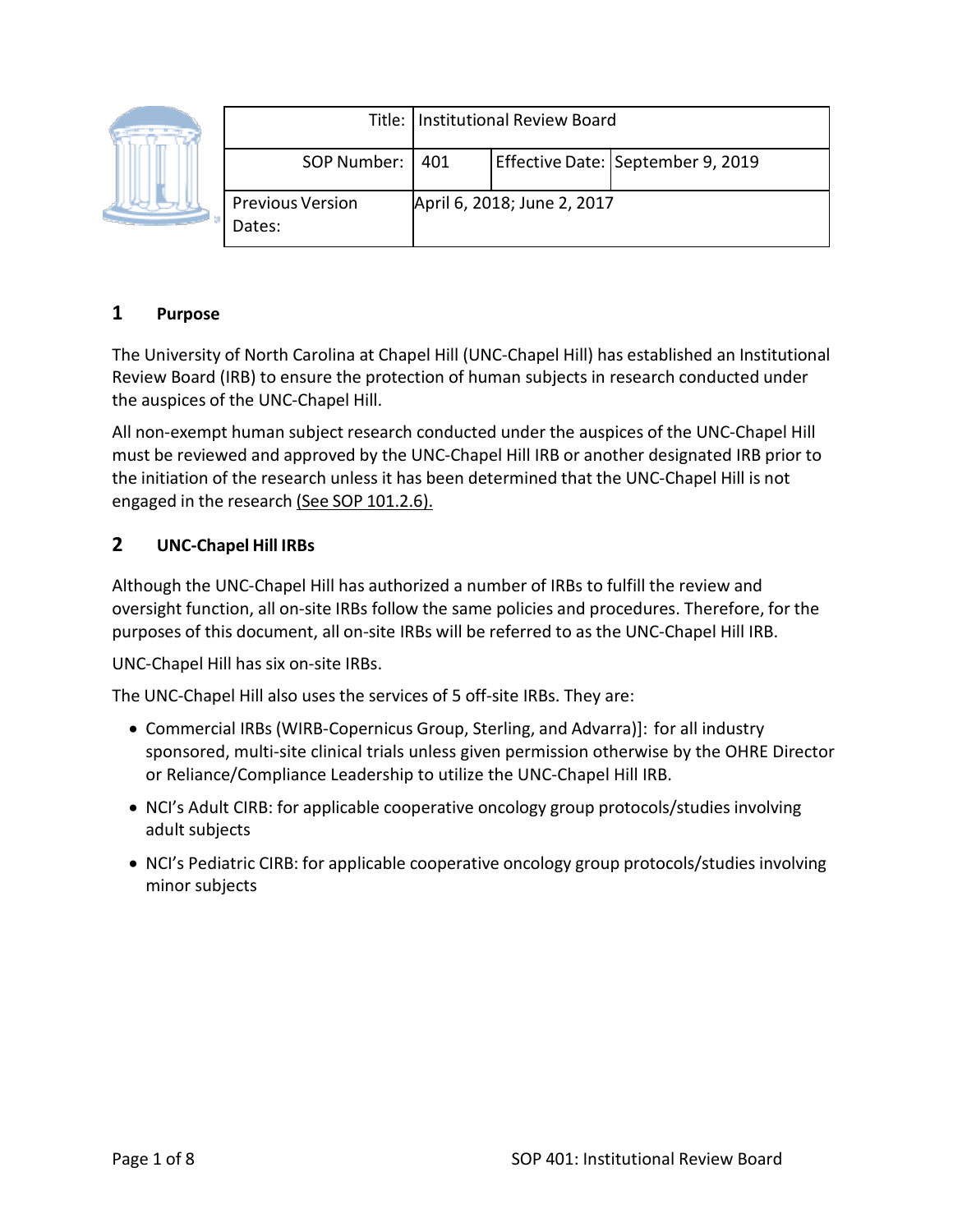

|                                   | Title:   Institutional Review Board |                             |                                   |
|-----------------------------------|-------------------------------------|-----------------------------|-----------------------------------|
| SOP Number:   401                 |                                     |                             | Effective Date: September 9, 2019 |
| <b>Previous Version</b><br>Dates: |                                     | April 6, 2018; June 2, 2017 |                                   |

# **1 Purpose**

The University of North Carolina at Chapel Hill (UNC‐Chapel Hill) has established an Institutional Review Board (IRB) to ensure the protection of human subjects in research conducted under the auspices of the UNC‐Chapel Hill.

All non‐exempt human subject research conducted under the auspices of the UNC‐Chapel Hill must be reviewed and approved by the UNC‐Chapel Hill IRB or another designated IRB prior to the initiation of the research unless it has been determined that the UNC‐Chapel Hill is not engaged in the research (See SOP 101.2.6).

## **2 UNC‐Chapel Hill IRBs**

Although the UNC‐Chapel Hill has authorized a number of IRBs to fulfill the review and oversight function, all on‐site IRBs follow the same policies and procedures. Therefore, for the purposes of this document, all on‐site IRBs will be referred to as the UNC‐Chapel Hill IRB.

UNC‐Chapel Hill has six on‐site IRBs.

The UNC‐Chapel Hill also uses the services of 5 off‐site IRBs. They are:

- Commercial IRBs (WIRB-Copernicus Group, Sterling, and Advarra)]: for all industry sponsored, multi-site clinical trials unless given permission otherwise by the OHRE Director or Reliance/Compliance Leadership to utilize the UNC-Chapel Hill IRB.
- NCI's Adult CIRB: for applicable cooperative oncology group protocols/studies involving adult subjects
- NCI's Pediatric CIRB: for applicable cooperative oncology group protocols/studies involving minor subjects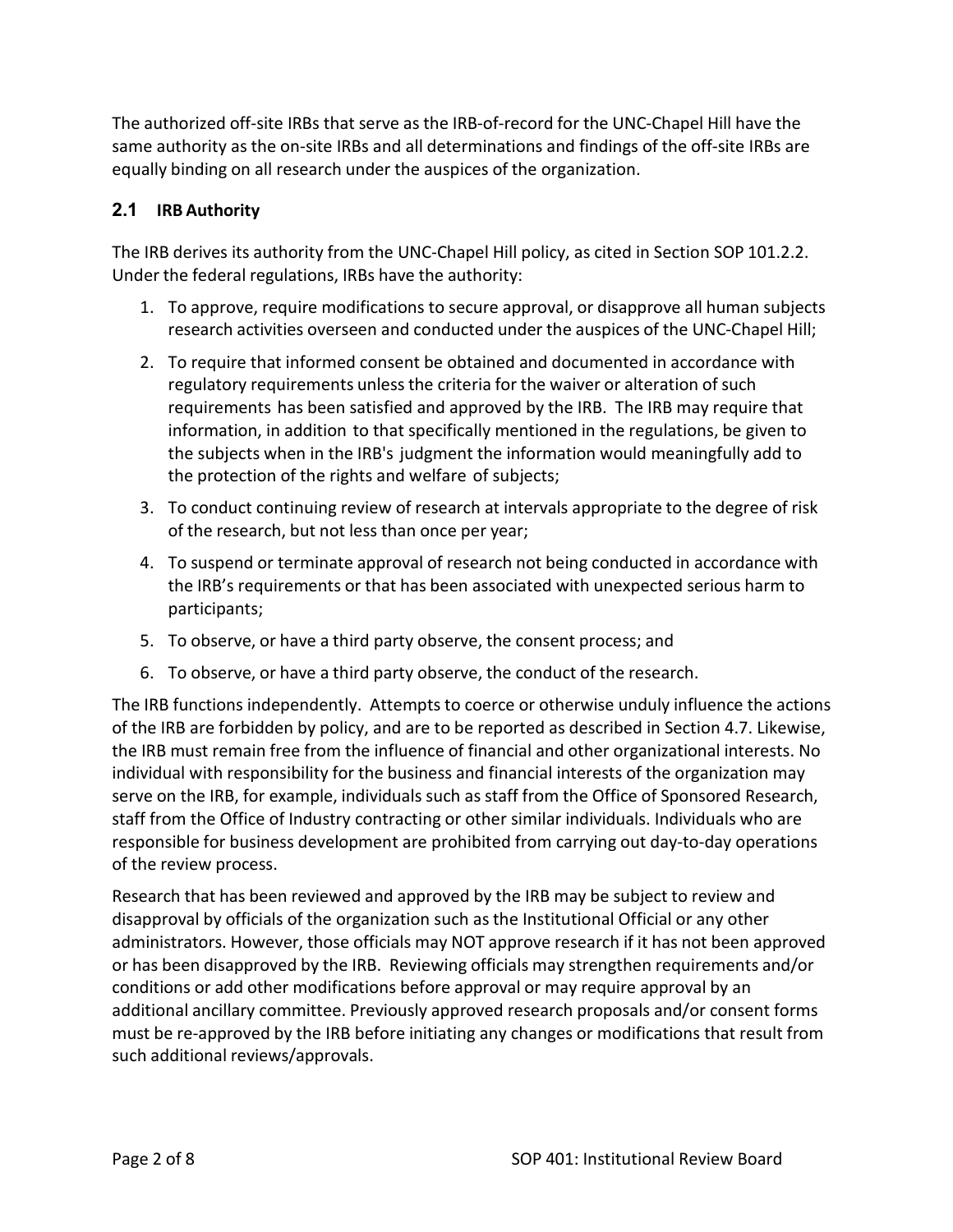The authorized off‐site IRBs that serve as the IRB‐of‐record for the UNC‐Chapel Hill have the same authority as the on-site IRBs and all determinations and findings of the off-site IRBs are equally binding on all research under the auspices of the organization.

## **2.1 IRB Authority**

The IRB derives its authority from the UNC-Chapel Hill policy, as cited in Section SOP 101.2.2. Under the federal regulations, IRBs have the authority:

- 1. To approve, require modifications to secure approval, or disapprove all human subjects research activities overseen and conducted under the auspices of the UNC‐Chapel Hill;
- 2. To require that informed consent be obtained and documented in accordance with regulatory requirements unless the criteria for the waiver or alteration of such requirements has been satisfied and approved by the IRB. The IRB may require that information, in addition to that specifically mentioned in the regulations, be given to the subjects when in the IRB's judgment the information would meaningfully add to the protection of the rights and welfare of subjects;
- 3. To conduct continuing review of research at intervals appropriate to the degree of risk of the research, but not less than once per year;
- 4. To suspend or terminate approval of research not being conducted in accordance with the IRB's requirements or that has been associated with unexpected serious harm to participants;
- 5. To observe, or have a third party observe, the consent process; and
- 6. To observe, or have a third party observe, the conduct of the research.

The IRB functions independently. Attempts to coerce or otherwise unduly influence the actions of the IRB are forbidden by policy, and are to be reported as described in Section 4.7. Likewise, the IRB must remain free from the influence of financial and other organizational interests. No individual with responsibility for the business and financial interests of the organization may serve on the IRB, for example, individuals such as staff from the Office of Sponsored Research, staff from the Office of Industry contracting or other similar individuals. Individuals who are responsible for business development are prohibited from carrying out day‐to‐day operations of the review process.

Research that has been reviewed and approved by the IRB may be subject to review and disapproval by officials of the organization such as the Institutional Official or any other administrators. However, those officials may NOT approve research if it has not been approved or has been disapproved by the IRB. Reviewing officials may strengthen requirements and/or conditions or add other modifications before approval or may require approval by an additional ancillary committee. Previously approved research proposals and/or consent forms must be re‐approved by the IRB before initiating any changes or modifications that result from such additional reviews/approvals.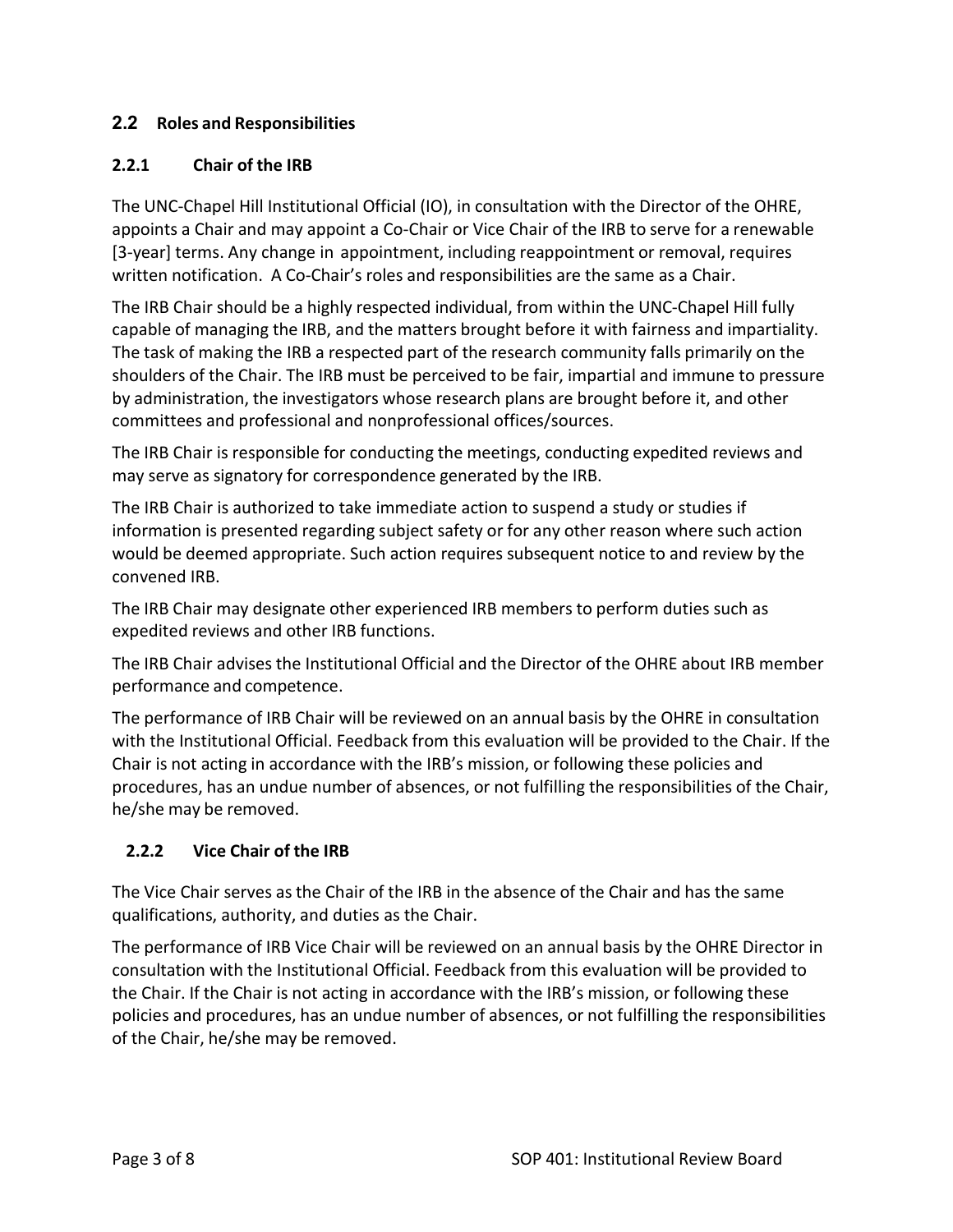#### **2.2 Roles and Responsibilities**

#### **2.2.1 Chair of the IRB**

The UNC‐Chapel Hill Institutional Official (IO), in consultation with the Director of the OHRE, appoints a Chair and may appoint a Co-Chair or Vice Chair of the IRB to serve for a renewable [3-year] terms. Any change in appointment, including reappointment or removal, requires written notification. A Co-Chair's roles and responsibilities are the same as a Chair.

The IRB Chair should be a highly respected individual, from within the UNC‐Chapel Hill fully capable of managing the IRB, and the matters brought before it with fairness and impartiality. The task of making the IRB a respected part of the research community falls primarily on the shoulders of the Chair. The IRB must be perceived to be fair, impartial and immune to pressure by administration, the investigators whose research plans are brought before it, and other committees and professional and nonprofessional offices/sources.

The IRB Chair is responsible for conducting the meetings, conducting expedited reviews and may serve as signatory for correspondence generated by the IRB.

The IRB Chair is authorized to take immediate action to suspend a study or studies if information is presented regarding subject safety or for any other reason where such action would be deemed appropriate. Such action requires subsequent notice to and review by the convened IRB.

The IRB Chair may designate other experienced IRB members to perform duties such as expedited reviews and other IRB functions.

The IRB Chair advises the Institutional Official and the Director of the OHRE about IRB member performance and competence.

The performance of IRB Chair will be reviewed on an annual basis by the OHRE in consultation with the Institutional Official. Feedback from this evaluation will be provided to the Chair. If the Chair is not acting in accordance with the IRB's mission, or following these policies and procedures, has an undue number of absences, or not fulfilling the responsibilities of the Chair, he/she may be removed.

## **2.2.2 Vice Chair of the IRB**

The Vice Chair serves as the Chair of the IRB in the absence of the Chair and has the same qualifications, authority, and duties as the Chair.

The performance of IRB Vice Chair will be reviewed on an annual basis by the OHRE Director in consultation with the Institutional Official. Feedback from this evaluation will be provided to the Chair. If the Chair is not acting in accordance with the IRB's mission, or following these policies and procedures, has an undue number of absences, or not fulfilling the responsibilities of the Chair, he/she may be removed.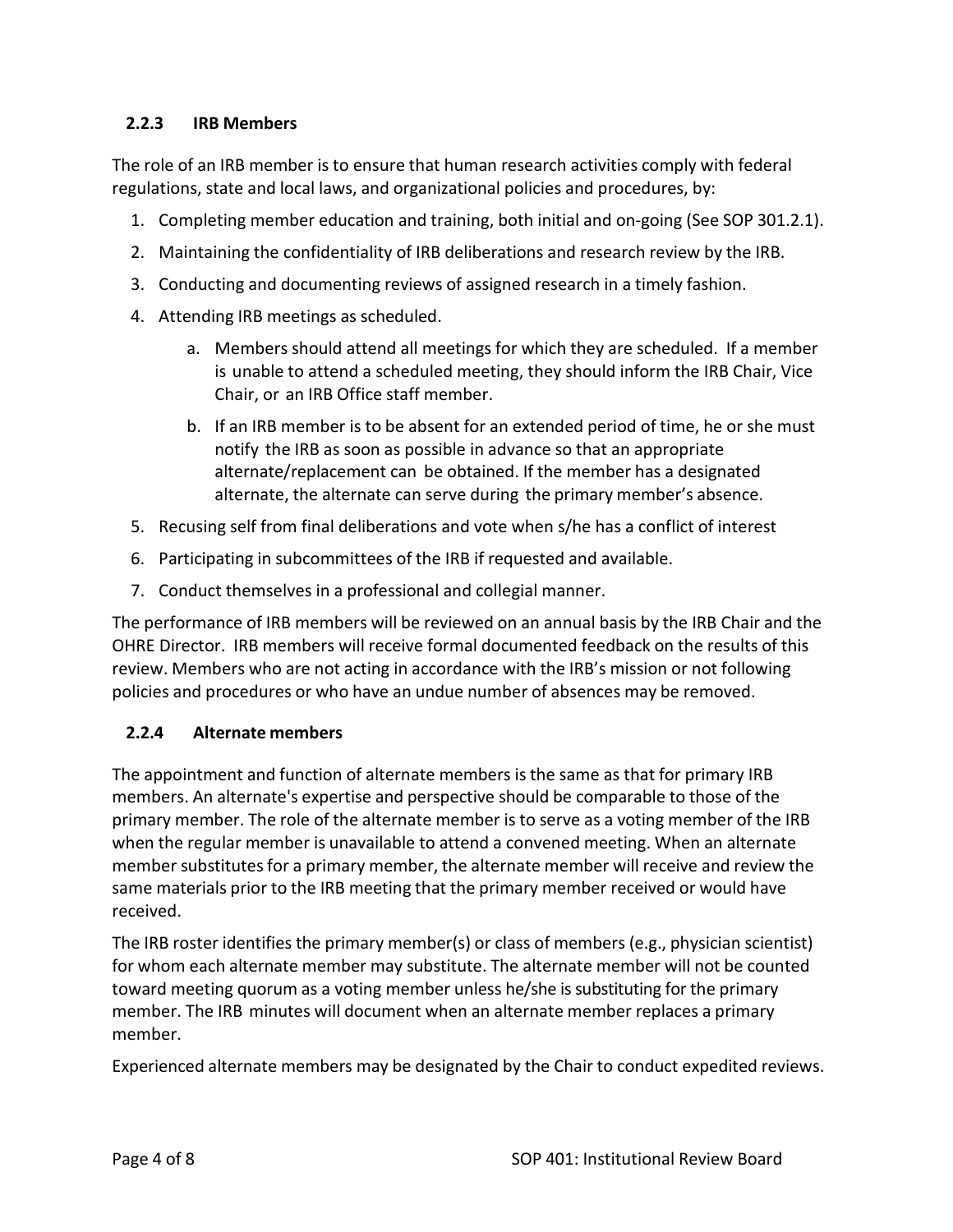#### **2.2.3 IRB Members**

The role of an IRB member is to ensure that human research activities comply with federal regulations, state and local laws, and organizational policies and procedures, by:

- 1. Completing member education and training, both initial and on‐going (See SOP 301.2.1).
- 2. Maintaining the confidentiality of IRB deliberations and research review by the IRB.
- 3. Conducting and documenting reviews of assigned research in a timely fashion.
- 4. Attending IRB meetings as scheduled.
	- a. Members should attend all meetings for which they are scheduled. If a member is unable to attend a scheduled meeting, they should inform the IRB Chair, Vice Chair, or an IRB Office staff member.
	- b. If an IRB member is to be absent for an extended period of time, he or she must notify the IRB as soon as possible in advance so that an appropriate alternate/replacement can be obtained. If the member has a designated alternate, the alternate can serve during the primary member's absence.
- 5. Recusing self from final deliberations and vote when s/he has a conflict of interest
- 6. Participating in subcommittees of the IRB if requested and available.
- 7. Conduct themselves in a professional and collegial manner.

The performance of IRB members will be reviewed on an annual basis by the IRB Chair and the OHRE Director. IRB members will receive formal documented feedback on the results of this review. Members who are not acting in accordance with the IRB's mission or not following policies and procedures or who have an undue number of absences may be removed.

## **2.2.4 Alternate members**

The appointment and function of alternate members is the same as that for primary IRB members. An alternate's expertise and perspective should be comparable to those of the primary member. The role of the alternate member is to serve as a voting member of the IRB when the regular member is unavailable to attend a convened meeting. When an alternate member substitutes for a primary member, the alternate member will receive and review the same materials prior to the IRB meeting that the primary member received or would have received.

The IRB roster identifies the primary member(s) or class of members (e.g., physician scientist) for whom each alternate member may substitute. The alternate member will not be counted toward meeting quorum as a voting member unless he/she is substituting for the primary member. The IRB minutes will document when an alternate member replaces a primary member.

Experienced alternate members may be designated by the Chair to conduct expedited reviews.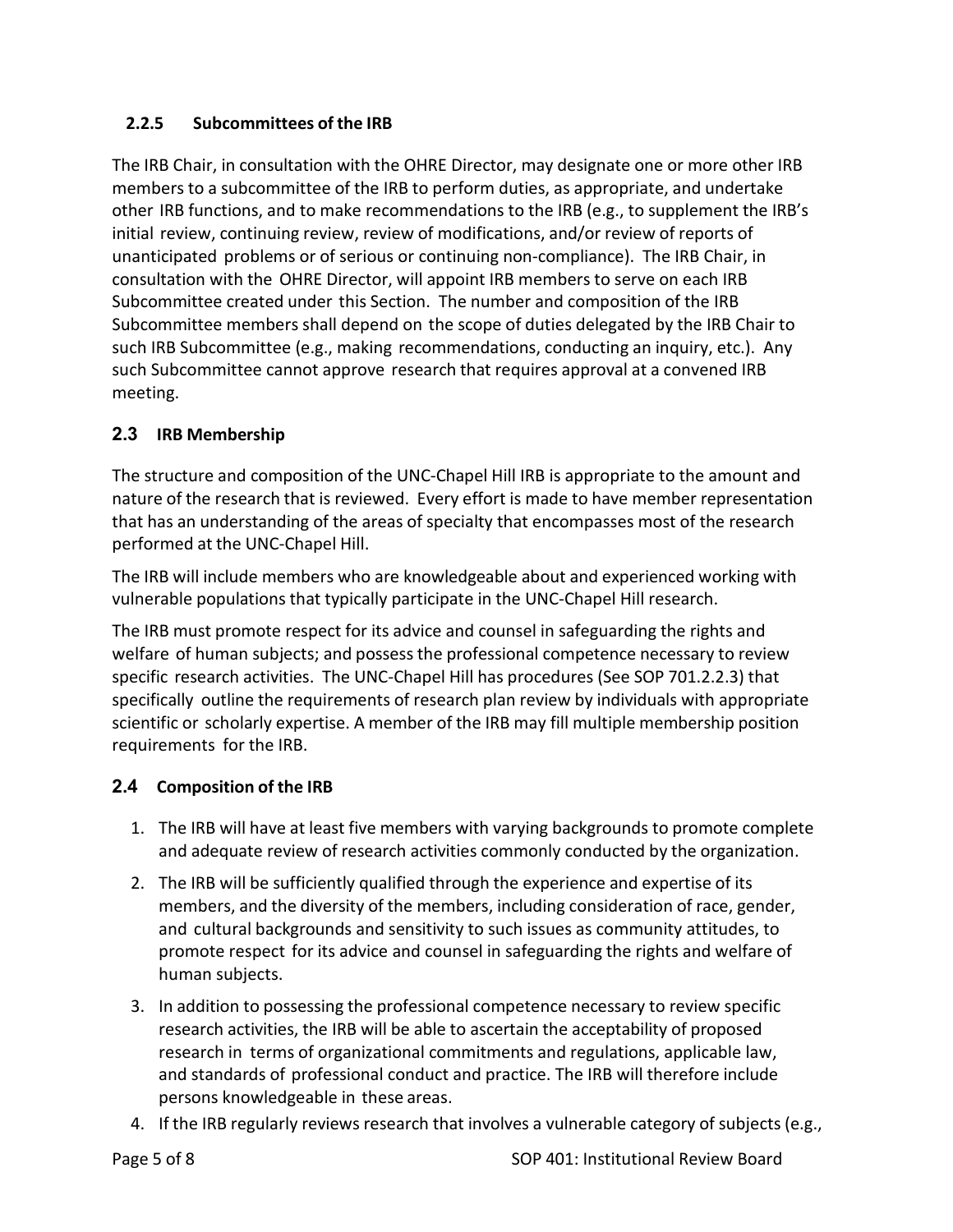## **2.2.5 Subcommittees of the IRB**

The IRB Chair, in consultation with the OHRE Director, may designate one or more other IRB members to a subcommittee of the IRB to perform duties, as appropriate, and undertake other IRB functions, and to make recommendations to the IRB (e.g., to supplement the IRB's initial review, continuing review, review of modifications, and/or review of reports of unanticipated problems or of serious or continuing non‐compliance). The IRB Chair, in consultation with the OHRE Director, will appoint IRB members to serve on each IRB Subcommittee created under this Section. The number and composition of the IRB Subcommittee members shall depend on the scope of duties delegated by the IRB Chair to such IRB Subcommittee (e.g., making recommendations, conducting an inquiry, etc.). Any such Subcommittee cannot approve research that requires approval at a convened IRB meeting.

## **2.3 IRB Membership**

The structure and composition of the UNC‐Chapel Hill IRB is appropriate to the amount and nature of the research that is reviewed. Every effort is made to have member representation that has an understanding of the areas of specialty that encompasses most of the research performed at the UNC‐Chapel Hill.

The IRB will include members who are knowledgeable about and experienced working with vulnerable populations that typically participate in the UNC‐Chapel Hill research.

The IRB must promote respect for its advice and counsel in safeguarding the rights and welfare of human subjects; and possess the professional competence necessary to review specific research activities. The UNC‐Chapel Hill has procedures (See SOP 701.2.2.3) that specifically outline the requirements of research plan review by individuals with appropriate scientific or scholarly expertise. A member of the IRB may fill multiple membership position requirements for the IRB.

## **2.4 Composition of the IRB**

- 1. The IRB will have at least five members with varying backgrounds to promote complete and adequate review of research activities commonly conducted by the organization.
- 2. The IRB will be sufficiently qualified through the experience and expertise of its members, and the diversity of the members, including consideration of race, gender, and cultural backgrounds and sensitivity to such issues as community attitudes, to promote respect for its advice and counsel in safeguarding the rights and welfare of human subjects.
- 3. In addition to possessing the professional competence necessary to review specific research activities, the IRB will be able to ascertain the acceptability of proposed research in terms of organizational commitments and regulations, applicable law, and standards of professional conduct and practice. The IRB will therefore include persons knowledgeable in these areas.
- 4. If the IRB regularly reviews research that involves a vulnerable category of subjects (e.g.,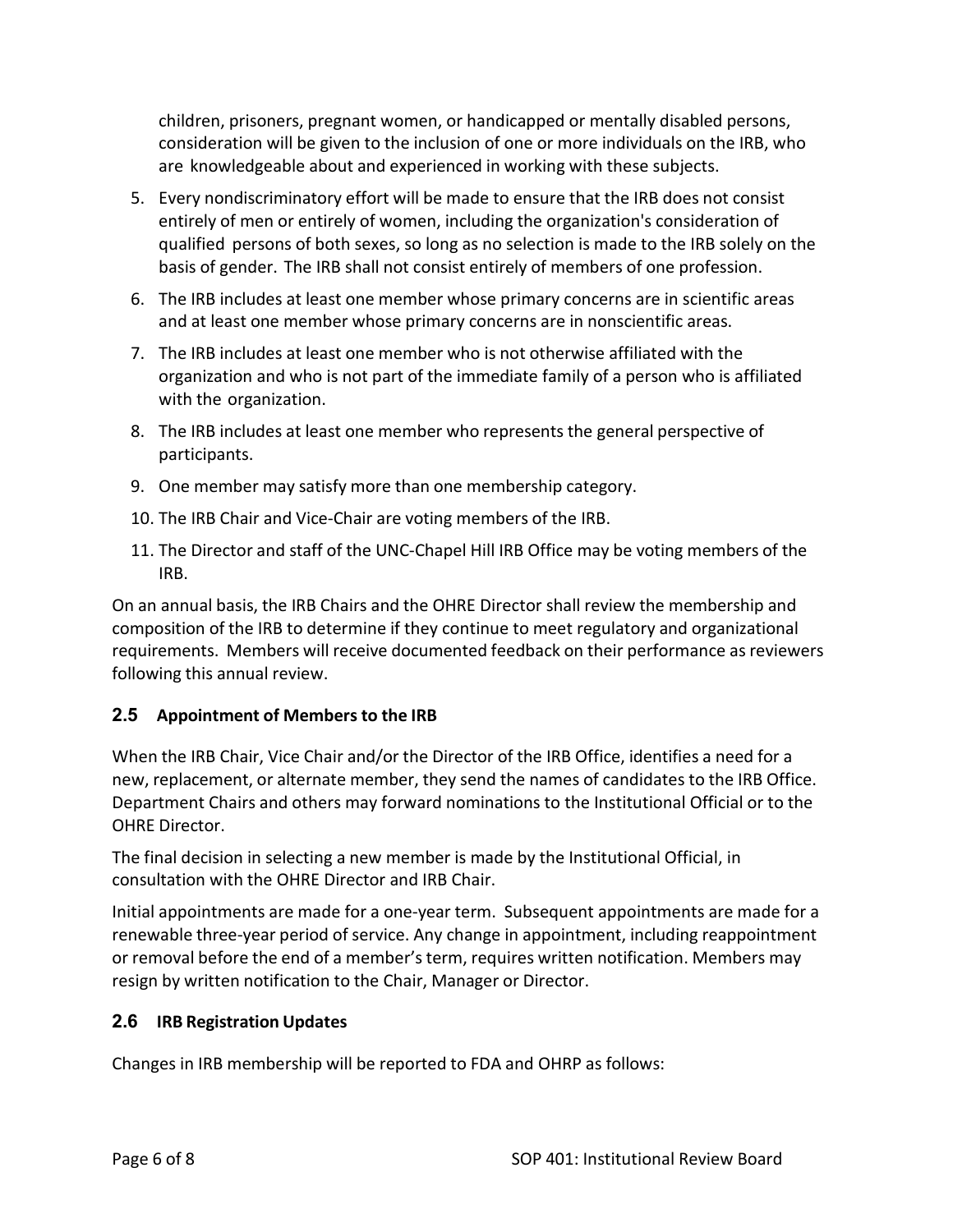children, prisoners, pregnant women, or handicapped or mentally disabled persons, consideration will be given to the inclusion of one or more individuals on the IRB, who are knowledgeable about and experienced in working with these subjects.

- 5. Every nondiscriminatory effort will be made to ensure that the IRB does not consist entirely of men or entirely of women, including the organization's consideration of qualified persons of both sexes, so long as no selection is made to the IRB solely on the basis of gender. The IRB shall not consist entirely of members of one profession.
- 6. The IRB includes at least one member whose primary concerns are in scientific areas and at least one member whose primary concerns are in nonscientific areas.
- 7. The IRB includes at least one member who is not otherwise affiliated with the organization and who is not part of the immediate family of a person who is affiliated with the organization.
- 8. The IRB includes at least one member who represents the general perspective of participants.
- 9. One member may satisfy more than one membership category.
- 10. The IRB Chair and Vice‐Chair are voting members of the IRB.
- 11. The Director and staff of the UNC‐Chapel Hill IRB Office may be voting members of the IRB.

On an annual basis, the IRB Chairs and the OHRE Director shall review the membership and composition of the IRB to determine if they continue to meet regulatory and organizational requirements. Members will receive documented feedback on their performance as reviewers following this annual review.

## **2.5 Appointment of Members to the IRB**

When the IRB Chair, Vice Chair and/or the Director of the IRB Office, identifies a need for a new, replacement, or alternate member, they send the names of candidates to the IRB Office. Department Chairs and others may forward nominations to the Institutional Official or to the OHRE Director.

The final decision in selecting a new member is made by the Institutional Official, in consultation with the OHRE Director and IRB Chair.

Initial appointments are made for a one‐year term. Subsequent appointments are made for a renewable three‐year period of service. Any change in appointment, including reappointment or removal before the end of a member'sterm, requires written notification. Members may resign by written notification to the Chair, Manager or Director.

## **2.6 IRB Registration Updates**

Changes in IRB membership will be reported to FDA and OHRP as follows: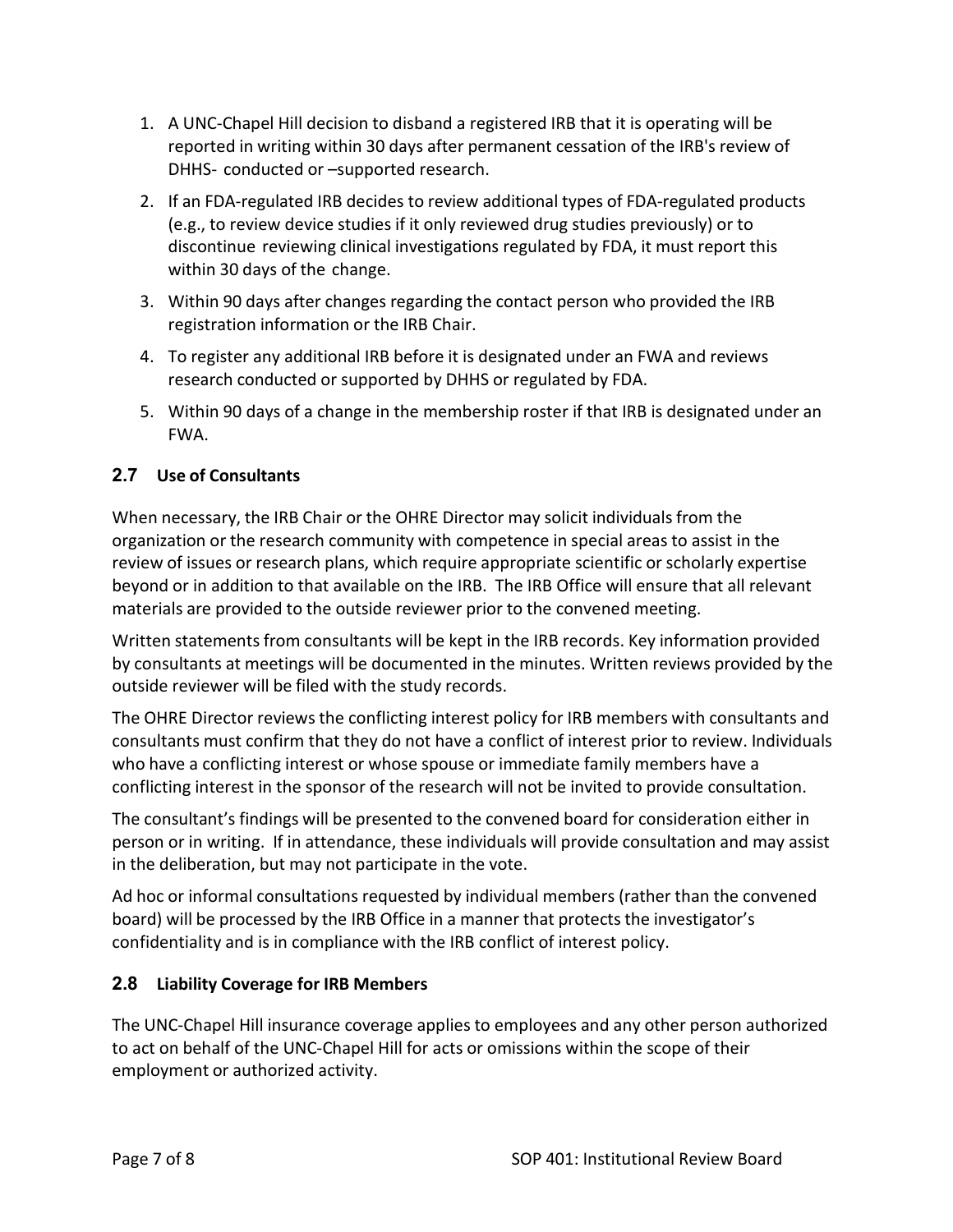- 1. A UNC‐Chapel Hill decision to disband a registered IRB that it is operating will be reported in writing within 30 days after permanent cessation of the IRB's review of DHHS‐ conducted or –supported research.
- 2. If an FDA‐regulated IRB decides to review additional types of FDA‐regulated products (e.g., to review device studies if it only reviewed drug studies previously) or to discontinue reviewing clinical investigations regulated by FDA, it must report this within 30 days of the change.
- 3. Within 90 days after changes regarding the contact person who provided the IRB registration information or the IRB Chair.
- 4. To register any additional IRB before it is designated under an FWA and reviews research conducted or supported by DHHS or regulated by FDA.
- 5. Within 90 days of a change in the membership roster if that IRB is designated under an FWA.

# **2.7 Use of Consultants**

When necessary, the IRB Chair or the OHRE Director may solicit individuals from the organization or the research community with competence in special areas to assist in the review of issues or research plans, which require appropriate scientific or scholarly expertise beyond or in addition to that available on the IRB. The IRB Office will ensure that all relevant materials are provided to the outside reviewer prior to the convened meeting.

Written statements from consultants will be kept in the IRB records. Key information provided by consultants at meetings will be documented in the minutes. Written reviews provided by the outside reviewer will be filed with the study records.

The OHRE Director reviews the conflicting interest policy for IRB members with consultants and consultants must confirm that they do not have a conflict of interest prior to review. Individuals who have a conflicting interest or whose spouse or immediate family members have a conflicting interest in the sponsor of the research will not be invited to provide consultation.

The consultant's findings will be presented to the convened board for consideration either in person or in writing. If in attendance, these individuals will provide consultation and may assist in the deliberation, but may not participate in the vote.

Ad hoc or informal consultations requested by individual members (rather than the convened board) will be processed by the IRB Office in a manner that protects the investigator's confidentiality and is in compliance with the IRB conflict of interest policy.

## **2.8 Liability Coverage for IRB Members**

The UNC‐Chapel Hill insurance coverage applies to employees and any other person authorized to act on behalf of the UNC‐Chapel Hill for acts or omissions within the scope of their employment or authorized activity.